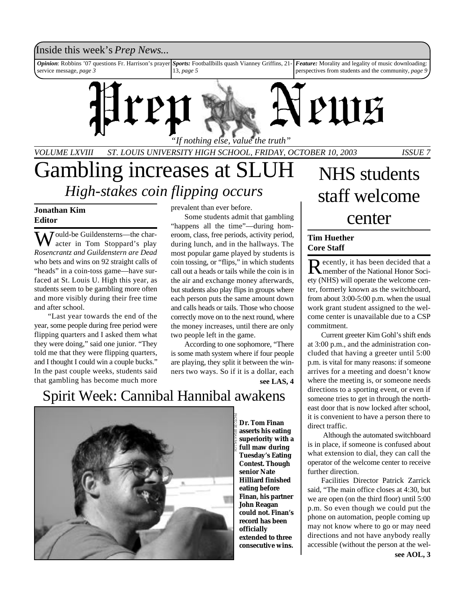# Inside this week's *Prep News*...

*Opinion*: Robbins '07 questions Fr. Harrison's prayer service message, *page 3 Sports:* Footballbills quash Vianney Griffins, 21- 13, *page 5 Feature:* Morality and legality of music downloading: perspectives from students and the community, *page 9*



*VOLUME LXVIII ST. LOUIS UNIVERSITY HIGH SCHOOL, FRIDAY, OCTOBER 10, 2003 ISSUE 7*

# Gambling increases at SLUH *High-stakes coin flipping occurs*

# **Jonathan Kim Editor**

Would-be Guildensterns—the character in Tom Stoppard's play *Rosencrantz and Guildenstern are Dead* who bets and wins on 92 straight calls of "heads" in a coin-toss game—have surfaced at St. Louis U. High this year, as students seem to be gambling more often and more visibly during their free time and after school.

"Last year towards the end of the year, some people during free period were flipping quarters and I asked them what they were doing," said one junior. "They told me that they were flipping quarters, and I thought I could win a couple bucks." In the past couple weeks, students said that gambling has become much more

prevalent than ever before.

Some students admit that gambling "happens all the time"—during homeroom, class, free periods, activity period, during lunch, and in the hallways. The most popular game played by students is coin tossing, or "flips," in which students call out a heads or tails while the coin is in the air and exchange money afterwards, but students also play flips in groups where each person puts the same amount down and calls heads or tails. Those who choose correctly move on to the next round, where the money increases, until there are only two people left in the game.

According to one sophomore, "There is some math system where if four people are playing, they split it between the winners two ways. So if it is a dollar, each

**see LAS, 4**

# Spirit Week: Cannibal Hannibal awakens



**Dr. Tom Finan asserts his eating superiority with a full maw during Tuesday's Eating Contest. Though senior Nate Hilliard finished eating before Finan, his partner John Reagan could not. Finan's record has been officially extended to three consecutive wins.**

# NHS students staff welcome center

# **Tim Huether Core Staff**

Recently, it has been decided that a<br>
Recently of the National Honor Socimember of the National Honor Society (NHS) will operate the welcome center, formerly known as the switchboard, from about 3:00-5:00 p.m. when the usual work grant student assigned to the welcome center is unavailable due to a CSP commitment.

Current greeter Kim Gohl's shift ends at 3:00 p.m., and the administration concluded that having a greeter until 5:00 p.m. is vital for many reasons: if someone arrives for a meeting and doesn't know where the meeting is, or someone needs directions to a sporting event, or even if someone tries to get in through the northeast door that is now locked after school, it is convenient to have a person there to direct traffic.

 Although the automated switchboard is in place, if someone is confused about what extension to dial, they can call the operator of the welcome center to receive further direction.

Facilities Director Patrick Zarrick said, "The main office closes at 4:30, but we are open (on the third floor) until 5:00 p.m. So even though we could put the phone on automation, people coming up may not know where to go or may need directions and not have anybody really accessible (without the person at the wel-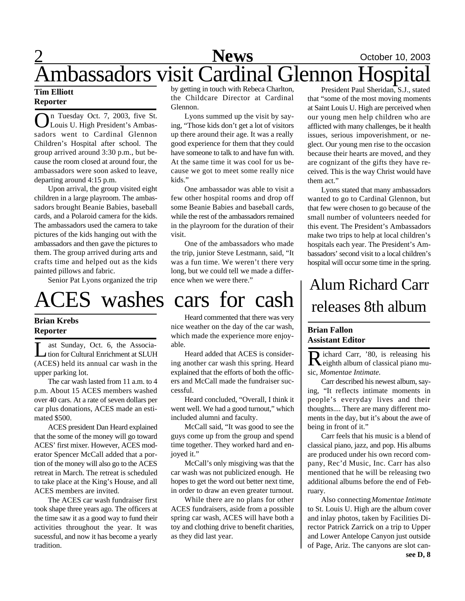# 2 **News** October 10, 2003 Ambassadors visit Cardinal Glennon Hospital

## **Tim Elliott Reporter**

O n Tuesday Oct. 7, 2003, five St. Louis U. High President's Ambassadors went to Cardinal Glennon Children's Hospital after school. The group arrived around 3:30 p.m., but because the room closed at around four, the ambassadors were soon asked to leave, departing around 4:15 p.m.

Upon arrival, the group visited eight children in a large playroom. The ambassadors brought Beanie Babies, baseball cards, and a Polaroid camera for the kids. The ambassadors used the camera to take pictures of the kids hanging out with the ambassadors and then gave the pictures to them. The group arrived during arts and crafts time and helped out as the kids painted pillows and fabric.

Senior Pat Lyons organized the trip

# ACES washes cars for cash

## **Brian Krebs Reporter**

Let a Sunday, Oct. 6, the Associa-<br>
tion for Cultural Enrichment at SLUH ast Sunday, Oct. 6, the Associa-(ACES) held its annual car wash in the upper parking lot.

The car wash lasted from 11 a.m. to 4 p.m. About 15 ACES members washed over 40 cars. At a rate of seven dollars per car plus donations, ACES made an estimated \$500.

ACES president Dan Heard explained that the some of the money will go toward ACES' first mixer. However, ACES moderator Spencer McCall added that a portion of the money will also go to the ACES retreat in March. The retreat is scheduled to take place at the King's House, and all ACES members are invited.

The ACES car wash fundraiser first took shape three years ago. The officers at the time saw it as a good way to fund their activities throughout the year. It was sucessful, and now it has become a yearly tradition.

by getting in touch with Rebeca Charlton, the Childcare Director at Cardinal Glennon.

Lyons summed up the visit by saying, "Those kids don't get a lot of visitors up there around their age. It was a really good experience for them that they could have someone to talk to and have fun with. At the same time it was cool for us because we got to meet some really nice kids."

One ambassador was able to visit a few other hospital rooms and drop off some Beanie Babies and baseball cards, while the rest of the ambassadors remained in the playroom for the duration of their visit.

One of the ambassadors who made the trip, junior Steve Lestmann, said, "It was a fun time. We weren't there very long, but we could tell we made a difference when we were there."

Heard commented that there was very nice weather on the day of the car wash, which made the experience more enjoyable.

Heard added that ACES is considering another car wash this spring. Heard explained that the efforts of both the officers and McCall made the fundraiser successful.

Heard concluded, "Overall, I think it went well. We had a good turnout," which included alumni and faculty.

McCall said, "It was good to see the guys come up from the group and spend time together. They worked hard and enjoyed it."

McCall's only misgiving was that the car wash was not publicized enough. He hopes to get the word out better next time, in order to draw an even greater turnout.

While there are no plans for other ACES fundraisers, aside from a possible spring car wash, ACES will have both a toy and clothing drive to benefit charities, as they did last year.

President Paul Sheridan, S.J., stated that "some of the most moving moments at Saint Louis U. High are perceived when our young men help children who are afflicted with many challenges, be it health issues, serious impoverishment, or neglect. Our young men rise to the occasion because their hearts are moved, and they are cognizant of the gifts they have received. This is the way Christ would have them act."

Lyons stated that many ambassadors wanted to go to Cardinal Glennon, but that few were chosen to go because of the small number of volunteers needed for this event. The President's Ambassadors make two trips to help at local children's hospitals each year. The President's Ambassadors' second visit to a local children's hospital will occur some time in the spring.

# Alum Richard Carr releases 8th album

# **Brian Fallon Assistant Editor**

Richard Carr, '80, is releasing his<br>
Reighth album of classical piano muichard Carr, '80, is releasing his sic, *Momentae Intimate.*

Carr described his newest album, saying, "It reflects intimate moments in people's everyday lives and their thoughts.... There are many different moments in the day, but it's about the awe of being in front of it."

Carr feels that his music is a blend of classical piano, jazz, and pop. His albums are produced under his own record company, Rec'd Music, Inc. Carr has also mentioned that he will be releasing two additional albums before the end of February.

Also connecting *Momentae Intimate* to St. Louis U. High are the album cover and inlay photos, taken by Facilities Director Patrick Zarrick on a trip to Upper and Lower Antelope Canyon just outside of Page, Ariz. The canyons are slot can**see D, 8**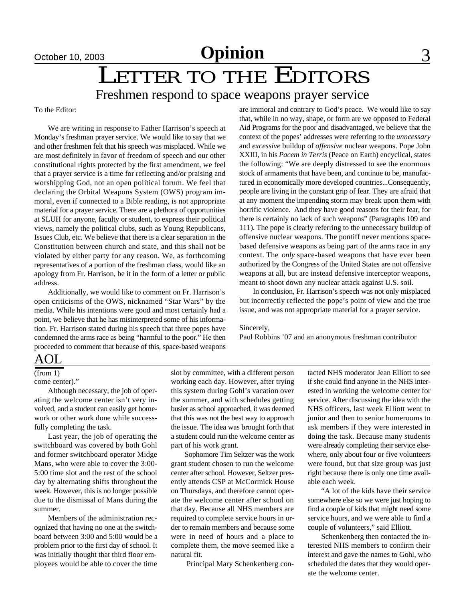# October 10, 2003 **Opinion** 3

# LETTER TO THE EDITORS

# Freshmen respond to space weapons prayer service

To the Editor:

We are writing in response to Father Harrison's speech at Monday's freshman prayer service. We would like to say that we and other freshmen felt that his speech was misplaced. While we are most definitely in favor of freedom of speech and our other constitutional rights protected by the first amendment, we feel that a prayer service is a time for reflecting and/or praising and worshipping God, not an open political forum. We feel that declaring the Orbital Weapons System (OWS) program immoral, even if connected to a Bible reading, is not appropriate material for a prayer service. There are a plethora of opportunities at SLUH for anyone, faculty or student, to express their political views, namely the political clubs, such as Young Republicans, Issues Club, etc. We believe that there is a clear separation in the Constitution between church and state, and this shall not be violated by either party for any reason. We, as forthcoming representatives of a portion of the freshman class, would like an apology from Fr. Harrison, be it in the form of a letter or public address.

Additionally, we would like to comment on Fr. Harrison's open criticisms of the OWS, nicknamed "Star Wars" by the media. While his intentions were good and most certainly had a point, we believe that he has misinterpreted some of his information. Fr. Harrison stated during his speech that three popes have condemned the arms race as being "harmful to the poor." He then proceeded to comment that because of this, space-based weapons are immoral and contrary to God's peace. We would like to say that, while in no way, shape, or form are we opposed to Federal Aid Programs for the poor and disadvantaged, we believe that the context of the popes' addresses were referring to the *unncessary* and *excessive* buildup of *offensive* nuclear weapons. Pope John XXIII, in his *Pacem in Terris* (Peace on Earth) encyclical, states the following: "We are deeply distressed to see the enormous stock of armaments that have been, and continue to be, manufactured in economically more developed countries...Consequently, people are living in the constant grip of fear. They are afraid that at any moment the impending storm may break upon them with horrific violence. And they have good reasons for their fear, for there is certainly no lack of such weapons" (Paragraphs 109 and 111). The pope is clearly referring to the unnecessary buildup of offensive nuclear weapons. The pontiff never mentions spacebased defensive weapons as being part of the arms race in any context. The *only* space-based weapons that have ever been authorized by the Congress of the United States are not offensive weapons at all, but are instead defensive interceptor weapons, meant to shoot down any nuclear attack against U.S. soil.

In conclusion, Fr. Harrison's speech was not only misplaced but incorrectly reflected the pope's point of view and the true issue, and was not appropriate material for a prayer service.

Sincerely,

Paul Robbins '07 and an anonymous freshman contributor

# AOL

(from 1)

come center)."

Although necessary, the job of operating the welcome center isn't very involved, and a student can easily get homework or other work done while successfully completing the task.

Last year, the job of operating the switchboard was covered by both Gohl and former switchboard operator Midge Mans, who were able to cover the 3:00- 5:00 time slot and the rest of the school day by alternating shifts throughout the week. However, this is no longer possible due to the dismissal of Mans during the summer.

Members of the administration recognized that having no one at the switchboard between 3:00 and 5:00 would be a problem prior to the first day of school. It was initially thought that third floor employees would be able to cover the time slot by committee, with a different person working each day. However, after trying this system during Gohl's vacation over the summer, and with schedules getting busier as school approached, it was deemed that this was not the best way to approach the issue. The idea was brought forth that a student could run the welcome center as part of his work grant.

Sophomore Tim Seltzer was the work grant student chosen to run the welcome center after school. However, Seltzer presently attends CSP at McCormick House on Thursdays, and therefore cannot operate the welcome center after school on that day. Because all NHS members are required to complete service hours in order to remain members and because some were in need of hours and a place to complete them, the move seemed like a natural fit.

Principal Mary Schenkenberg con-

tacted NHS moderator Jean Elliott to see if she could find anyone in the NHS interested in working the welcome center for service. After discussing the idea with the NHS officers, last week Elliott went to junior and then to senior homerooms to ask members if they were interested in doing the task. Because many students were already completing their service elsewhere, only about four or five volunteers were found, but that size group was just right because there is only one time available each week.

"A lot of the kids have their service somewhere else so we were just hoping to find a couple of kids that might need some service hours, and we were able to find a couple of volunteers," said Elliott.

Schenkenberg then contacted the interested NHS members to confirm their interest and gave the names to Gohl, who scheduled the dates that they would operate the welcome center.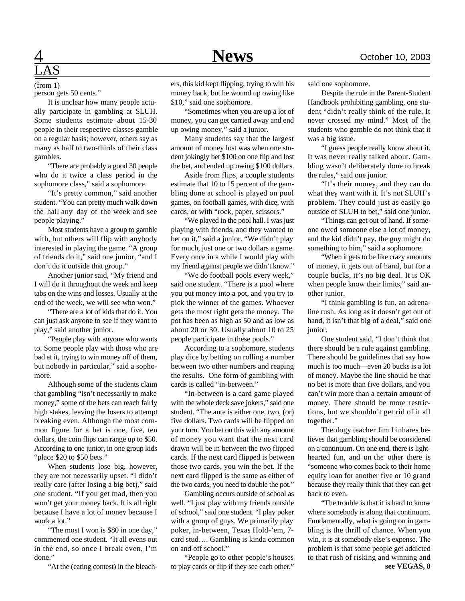# $\overline{\text{LAS}}$

person gets 50 cents." (from 1)

It is unclear how many people actually participate in gambling at SLUH. Some students estimate about 15-30 people in their respective classes gamble on a regular basis; however, others say as many as half to two-thirds of their class gambles.

"There are probably a good 30 people who do it twice a class period in the sophomore class," said a sophomore.

"It's pretty common," said another student. "You can pretty much walk down the hall any day of the week and see people playing."

Most students have a group to gamble with, but others will flip with anybody interested in playing the game. "A group of friends do it," said one junior, "and I don't do it outside that group."

Another junior said, "My friend and I will do it throughout the week and keep tabs on the wins and losses. Usually at the end of the week, we will see who won."

"There are a lot of kids that do it. You can just ask anyone to see if they want to play," said another junior.

"People play with anyone who wants to. Some people play with those who are bad at it, trying to win money off of them, but nobody in particular," said a sophomore.

Although some of the students claim that gambling "isn't necessarily to make money," some of the bets can reach fairly high stakes, leaving the losers to attempt breaking even. Although the most common figure for a bet is one, five, ten dollars, the coin flips can range up to \$50. According to one junior, in one group kids "place \$20 to \$50 bets."

When students lose big, however, they are not necessarily upset. "I didn't really care (after losing a big bet)," said one student. "If you get mad, then you won't get your money back. It is all right because I have a lot of money because I work a lot."

"The most I won is \$80 in one day," commented one student. "It all evens out in the end, so once I break even, I'm done."

"At the (eating contest) in the bleach-

ers, this kid kept flipping, trying to win his money back, but he wound up owing like \$10," said one sophomore.

"Sometimes when you are up a lot of money, you can get carried away and end up owing money," said a junior.

Many students say that the largest amount of money lost was when one student jokingly bet \$100 on one flip and lost the bet, and ended up owing \$100 dollars.

Aside from flips, a couple students estimate that 10 to 15 percent of the gambling done at school is played on pool games, on football games, with dice, with cards, or with "rock, paper, scissors."

"We played in the pool hall. I was just playing with friends, and they wanted to bet on it," said a junior. "We didn't play for much, just one or two dollars a game. Every once in a while I would play with my friend against people we didn't know."

"We do football pools every week," said one student. "There is a pool where you put money into a pot, and you try to pick the winner of the games. Whoever gets the most right gets the money. The pot has been as high as 50 and as low as about 20 or 30. Usually about 10 to 25 people participate in these pools."

According to a sophomore, students play dice by betting on rolling a number between two other numbers and reaping the results. One form of gambling with cards is called "in-between."

"In-between is a card game played with the whole deck save jokers," said one student. "The ante is either one, two, (or) five dollars. Two cards will be flipped on your turn. You bet on this with any amount of money you want that the next card drawn will be in between the two flipped cards. If the next card flipped is between those two cards, you win the bet. If the next card flipped is the same as either of the two cards, you need to double the pot."

Gambling occurs outside of school as well. "I just play with my friends outside of school," said one student. "I play poker with a group of guys. We primarily play poker, in-between, Texas Hold-'em, 7 card stud…. Gambling is kinda common on and off school."

"People go to other people's houses to play cards or flip if they see each other," said one sophomore.

Despite the rule in the Parent-Student Handbook prohibiting gambling, one student "didn't really think of the rule. It never crossed my mind." Most of the students who gamble do not think that it was a big issue.

"I guess people really know about it. It was never really talked about. Gambling wasn't deliberately done to break the rules," said one junior.

"It's their money, and they can do what they want with it. It's not SLUH's problem. They could just as easily go outside of SLUH to bet," said one junior.

"Things can get out of hand. If someone owed someone else a lot of money, and the kid didn't pay, the guy might do something to him," said a sophomore.

"When it gets to be like crazy amounts of money, it gets out of hand, but for a couple bucks, it's no big deal. It is OK when people know their limits," said another junior.

"I think gambling is fun, an adrenaline rush. As long as it doesn't get out of hand, it isn't that big of a deal," said one junior.

One student said, "I don't think that there should be a rule against gambling. There should be guidelines that say how much is too much—even 20 bucks is a lot of money. Maybe the line should be that no bet is more than five dollars, and you can't win more than a certain amount of money. There should be more restrictions, but we shouldn't get rid of it all together."

Theology teacher Jim Linhares believes that gambling should be considered on a continuum. On one end, there is lighthearted fun, and on the other there is "someone who comes back to their home equity loan for another five or 10 grand because they really think that they can get back to even.

"The trouble is that it is hard to know where somebody is along that continuum. Fundamentally, what is going on in gambling is the thrill of chance. When you win, it is at somebody else's expense. The problem is that some people get addicted to that rush of risking and winning and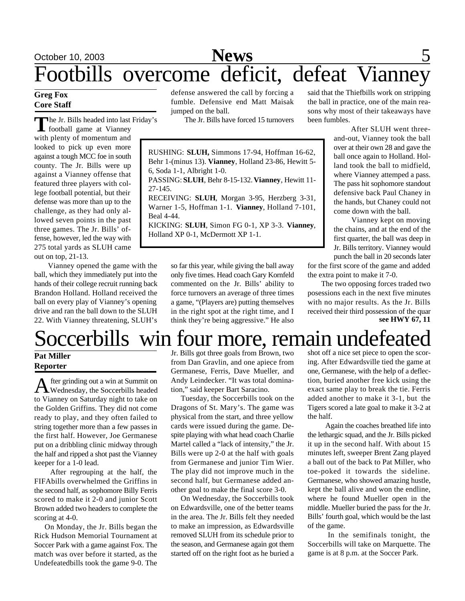# October 10, 2003 **News** 5 Footbills overcome deficit, defeat Vianney

## **Greg Fox Core Staff**

The Jr. Bills headed into last<br>
football game at Vianney he Jr. Bills headed into last Friday's with plenty of momentum and looked to pick up even more against a tough MCC foe in south county. The Jr. Bills were up against a Vianney offense that featured three players with college football potential, but their defense was more than up to the challenge, as they had only allowed seven points in the past three games. The Jr. Bills' offense, however, led the way with 275 total yards as SLUH came out on top, 21-13.

Vianney opened the game with the ball, which they immediately put into the hands of their college recruit running back Brandon Holland. Holland received the ball on every play of Vianney's opening drive and ran the ball down to the SLUH 22. With Vianney threatening, SLUH's defense answered the call by forcing a fumble. Defensive end Matt Maisak jumped on the ball.

The Jr. Bills have forced 15 turnovers

RUSHING: **SLUH,** Simmons 17-94, Hoffman 16-62, Behr 1-(minus 13). **Vianney**, Holland 23-86, Hewitt 5- 6, Soda 1-1, Albright 1-0. PASSING: **SLUH**, Behr 8-15-132. **Vianney**, Hewitt 11- 27-145. RECEIVING: **SLUH**, Morgan 3-95, Herzberg 3-31,

Warner 1-5, Hoffman 1-1. **Vianney**, Holland 7-101, Beal 4-44.

KICKING: **SLUH**, Simon FG 0-1, XP 3-3. **Vianney**, Holland XP 0-1, McDermott XP 1-1.

> so far this year, while giving the ball away only five times. Head coach Gary Kornfeld commented on the Jr. Bills' ability to force turnovers an average of three times a game, "(Players are) putting themselves in the right spot at the right time, and I think they're being aggressive." He also

said that the Thiefbills work on stripping the ball in practice, one of the main reasons why most of their takeaways have been fumbles.

> After SLUH went threeand-out, Vianney took the ball over at their own 28 and gave the ball once again to Holland. Holland took the ball to midfield, where Vianney attemped a pass. The pass hit sophomore standout defensive back Paul Chaney in the hands, but Chaney could not come down with the ball.

> Vianney kept on moving the chains, and at the end of the first quarter, the ball was deep in Jr. Bills territory. Vianney would punch the ball in 20 seconds later

for the first score of the game and added the extra point to make it 7-0.

The two opposing forces traded two posessions each in the next five minutes with no major results. As the Jr. Bills received their third possession of the quar **see HWY 67, 11**

# Soccerbills win four more, remain undefeated

## **Pat Miller Reporter**

After grinding out a win at Summit on<br>Wednesday, the Soccerbills headed Wednesday, the Soccerbills headed to Vianney on Saturday night to take on the Golden Griffins. They did not come ready to play, and they often failed to string together more than a few passes in the first half. However, Joe Germanese put on a dribbling clinic midway through the half and ripped a shot past the Vianney keeper for a 1-0 lead.

After regrouping at the half, the FIFAbills overwhelmed the Griffins in the second half, as sophomore Billy Ferris scored to make it 2-0 and junior Scott Brown added two headers to complete the scoring at 4-0.

 On Monday, the Jr. Bills began the Rick Hudson Memorial Tournament at Soccer Park with a game against Fox. The match was over before it started, as the Undefeatedbills took the game 9-0. The

Jr. Bills got three goals from Brown, two from Dan Gravlin, and one apiece from Germanese, Ferris, Dave Mueller, and Andy Leindecker. "It was total domination," said keeper Bart Saracino.

 Tuesday, the Soccerbills took on the Dragons of St. Mary's. The game was physical from the start, and three yellow cards were issued during the game. Despite playing with what head coach Charlie Martel called a "lack of intensity," the Jr. Bills were up 2-0 at the half with goals from Germanese and junior Tim Wier. The play did not improve much in the second half, but Germanese added another goal to make the final score 3-0.

 On Wednesday, the Soccerbills took on Edwardsville, one of the better teams in the area. The Jr. Bills felt they needed to make an impression, as Edwardsville removed SLUH from its schedule prior to the season, and Germanese again got them started off on the right foot as he buried a

shot off a nice set piece to open the scoring. After Edwardsville tied the game at one, Germanese, with the help of a deflection, buried another free kick using the exact same play to break the tie. Ferris added another to make it 3-1, but the Tigers scored a late goal to make it 3-2 at the half.

 Again the coaches breathed life into the lethargic squad, and the Jr. Bills picked it up in the second half. With about 15 minutes left, sweeper Brent Zang played a ball out of the back to Pat Miller, who toe-poked it towards the sideline. Germanese, who showed amazing hustle, kept the ball alive and won the endline, where he found Mueller open in the middle. Mueller buried the pass for the Jr. Bills' fourth goal, which would be the last of the game.

In the semifinals tonight, the Soccerbills will take on Marquette. The game is at 8 p.m. at the Soccer Park.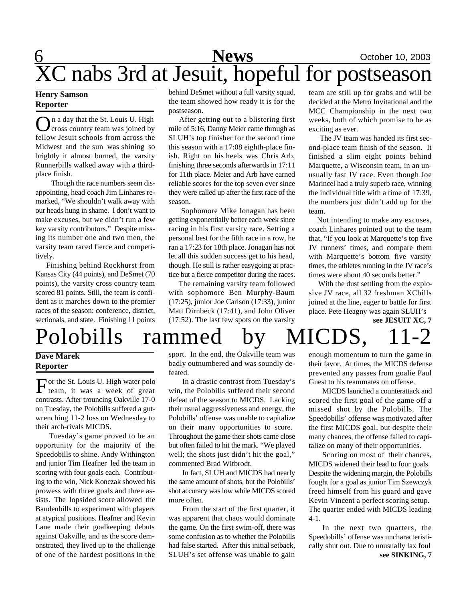# 6 **News** October 10, 2003 XC nabs 3rd at Jesuit, hopeful for postseason

## **Henry Samson Reporter**

On a day that the St. Louis U. High<br>cross country team was joined by n a day that the St. Louis U. High fellow Jesuit schools from across the Midwest and the sun was shining so brightly it almost burned, the varsity Runnerbills walked away with a thirdplace finish.

Though the race numbers seem disappointing, head coach Jim Linhares remarked, "We shouldn't walk away with our heads hung in shame. I don't want to make excuses, but we didn't run a few key varsity contributors." Despite missing its number one and two men, the varsity team raced fierce and competitively.

 Finishing behind Rockhurst from Kansas City (44 points), and DeSmet (70 points), the varsity cross country team scored 81 points. Still, the team is confident as it marches down to the premier races of the season: conference, district, sectionals, and state. Finishing 11 points behind DeSmet without a full varsity squad, the team showed how ready it is for the postseason.

 After getting out to a blistering first mile of 5:16, Danny Meier came through as SLUH's top finisher for the second time this season with a 17:08 eighth-place finish. Right on his heels was Chris Arb, finishing three seconds afterwards in 17:11 for 11th place. Meier and Arb have earned reliable scores for the top seven ever since they were called up after the first race of the season.

 Sophomore Mike Jonagan has been getting exponentially better each week since racing in his first varsity race. Setting a personal best for the fifth race in a row, he ran a 17:23 for 18th place. Jonagan has not let all this sudden success get to his head, though. He still is rather easygoing at practice but a fierce competitor during the races.

 The remaining varsity team followed with sophomore Ben Murphy-Baum (17:25), junior Joe Carlson (17:33), junior Matt Dirnbeck (17:41), and John Oliver (17:52). The last few spots on the varsity

team are still up for grabs and will be decided at the Metro Invitational and the MCC Championship in the next two weeks, both of which promise to be as exciting as ever.

 The JV team was handed its first second-place team finish of the season. It finished a slim eight points behind Marquette, a Wisconsin team, in an unusually fast JV race. Even though Joe Marincel had a truly superb race, winning the individual title with a time of 17:39, the numbers just didn't add up for the team.

 Not intending to make any excuses, coach Linhares pointed out to the team that, "If you look at Marquette's top five JV runners' times, and compare them with Marquette's bottom five varsity times, the athletes running in the JV race's times were about 40 seconds better."

 With the dust settling from the explosive JV race, all 32 freshman XCbills joined at the line, eager to battle for first place. Pete Heagny was again SLUH's

**see JESUIT XC, 7**

# Polobills rammed by MICDS,

## **Dave Marek Reporter**

For the St. Louis U. High water polo<br>team, it was a week of great team, it was a week of great contrasts. After trouncing Oakville 17-0 on Tuesday, the Polobills suffered a gutwrenching 11-2 loss on Wednesday to their arch-rivals MICDS.

Tuesday's game proved to be an opportunity for the majority of the Speedobills to shine. Andy Withington and junior Tim Heafner led the team in scoring with four goals each. Contributing to the win, Nick Konczak showed his prowess with three goals and three assists. The lopsided score allowed the Baudenbills to experiment with players at atypical positions. Heafner and Kevin Lane made their goalkeeping debuts against Oakville, and as the score demonstrated, they lived up to the challenge of one of the hardest positions in the

sport. In the end, the Oakville team was badly outnumbered and was soundly defeated.

In a drastic contrast from Tuesday's win, the Polobills suffered their second defeat of the season to MICDS. Lacking their usual aggressiveness and energy, the Polobills' offense was unable to capitalize on their many opportunities to score. Throughout the game their shots came close but often failed to hit the mark. "We played well; the shots just didn't hit the goal," commented Brad Witbrodt.

In fact, SLUH and MICDS had nearly the same amount of shots, but the Polobills' shot accuracy was low while MICDS scored more often.

From the start of the first quarter, it was apparent that chaos would dominate the game. On the first swim-off, there was some confusion as to whether the Polobills had false started. After this initial setback, SLUH's set offense was unable to gain

enough momentum to turn the game in their favor. At times, the MICDS defense prevented any passes from goalie Paul Guest to his teammates on offense.

MICDS launched a counterattack and scored the first goal of the game off a missed shot by the Polobills. The Speedobills' offense was motivated after the first MICDS goal, but despite their many chances, the offense failed to capitalize on many of their opportunities.

Scoring on most of their chances, MICDS widened their lead to four goals. Despite the widening margin, the Polobills fought for a goal as junior Tim Szewczyk freed himself from his guard and gave Kevin Vincent a perfect scoring setup. The quarter ended with MICDS leading 4-1.

In the next two quarters, the Speedobills' offense was uncharacteristically shut out. Due to unusually lax foul **see SINKING, 7**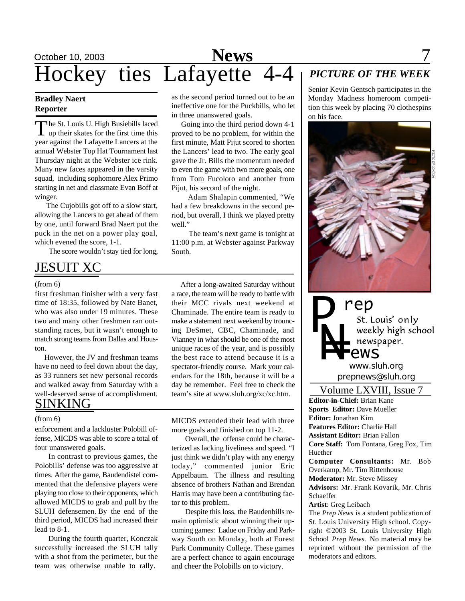

## **Bradley Naert Reporter**

The St. Louis U. High Busiebills laced<br>up their skates for the first time this he St. Louis U. High Busiebills laced year against the Lafayette Lancers at the annual Webster Top Hat Tournament last Thursday night at the Webster ice rink. Many new faces appeared in the varsity squad, including sophomore Alex Primo starting in net and classmate Evan Boff at winger.

 The Cujobills got off to a slow start, allowing the Lancers to get ahead of them by one, until forward Brad Naert put the puck in the net on a power play goal, which evened the score, 1-1.

The score wouldn't stay tied for long,

# JESUIT XC

### (from 6)

first freshman finisher with a very fast time of 18:35, followed by Nate Banet, who was also under 19 minutes. These two and many other freshmen ran outstanding races, but it wasn't enough to match strong teams from Dallas and Houston.

 However, the JV and freshman teams have no need to feel down about the day, as 33 runners set new personal records and walked away from Saturday with a well-deserved sense of accomplishment. SINKING

### (from 6)

enforcement and a lackluster Polobill offense, MICDS was able to score a total of four unanswered goals.

In contrast to previous games, the Polobills' defense was too aggressive at times. After the game, Baudendistel commented that the defensive players were playing too close to their opponents, which allowed MICDS to grab and pull by the SLUH defensemen. By the end of the third period, MICDS had increased their lead to 8-1.

During the fourth quarter, Konczak successfully increased the SLUH tally with a shot from the perimeter, but the team was otherwise unable to rally.

as the second period turned out to be an ineffective one for the Puckbills, who let in three unanswered goals.

 Going into the third period down 4-1 proved to be no problem, for within the first minute, Matt Pijut scored to shorten the Lancers' lead to two. The early goal gave the Jr. Bills the momentum needed to even the game with two more goals, one from Tom Fucoloro and another from Pijut, his second of the night.

 Adam Shalapin commented, "We had a few breakdowns in the second period, but overall, I think we played pretty well."

 The team's next game is tonight at 11:00 p.m. at Webster against Parkway South.

 After a long-awaited Saturday without a race, the team will be ready to battle with their MCC rivals next weekend at Chaminade. The entire team is ready to make a statement next weekend by trouncing DeSmet, CBC, Chaminade, and Vianney in what should be one of the most unique races of the year, and is possibly the best race to attend because it is a spectator-friendly course. Mark your calendars for the 18th, because it will be a day be remember. Feel free to check the team's site at www.sluh.org/xc/xc.htm.

MICDS extended their lead with three more goals and finished on top 11-2.

Overall, the offense could be characterized as lacking liveliness and speed. "I just think we didn't play with any energy today," commented junior Eric Appelbaum. The illness and resulting absence of brothers Nathan and Brendan Harris may have been a contributing factor to this problem.

Despite this loss, the Baudenbills remain optimistic about winning their upcoming games: Ladue on Friday and Parkway South on Monday, both at Forest Park Community College. These games are a perfect chance to again encourage and cheer the Polobills on to victory.

# *PICTURE OF THE WEEK*

Senior Kevin Gentsch participates in the Monday Madness homeroom competition this week by placing 70 clothespins on his face.





*prepnews@sluh.org*

Volume LXVIII, Issue 7

**Editor-in-Chief:** Brian Kane **Sports Editor:** Dave Mueller **Editor:** Jonathan Kim **Features Editor:** Charlie Hall **Assistant Editor:** Brian Fallon **Core Staff:** Tom Fontana, Greg Fox, Tim Huether **Computer Consultants:** Mr. Bob Overkamp, Mr. Tim Rittenhouse **Moderator:** Mr. Steve Missey **Advisors:** Mr. Frank Kovarik, Mr. Chris Schaeffer **Artist**: Greg Leibach The *Prep News* is a student publication of St. Louis University High school. Copyright ©2003 St. Louis University High

School *Prep News.* No material may be reprinted without the permission of the moderators and editors.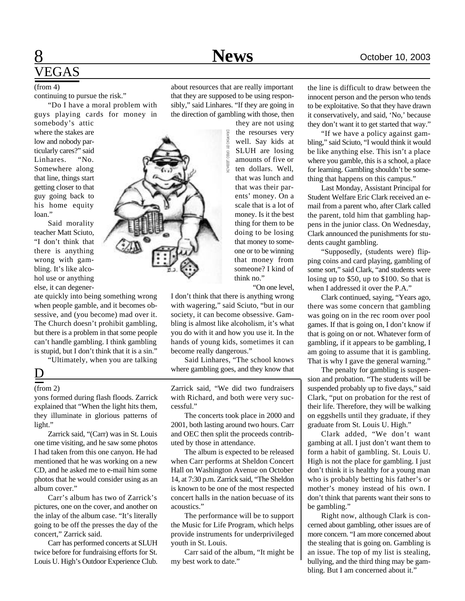# 8 **News** October 10, 2003 VEGAS

continuing to pursue the risk."

"Do I have a moral problem with guys playing cards for money in

somebody's attic where the stakes are low and nobody particularly cares?" said<br>Linhares. "No. Linhares. Somewhere along that line, things start getting closer to that guy going back to his home equity loan."

Said morality teacher Matt Sciuto, "I don't think that there is anything wrong with gambling. It's like alcohol use or anything else, it can degener-

ate quickly into being something wrong when people gamble, and it becomes obsessive, and (you become) mad over it. The Church doesn't prohibit gambling, but there is a problem in that some people can't handle gambling. I think gambling is stupid, but I don't think that it is a sin."

"Ultimately, when you are talking

# $\overline{\mathsf{D}}$

## (from 2)

yons formed during flash floods. Zarrick explained that "When the light hits them, they illuminate in glorious patterns of light."

Zarrick said, "(Carr) was in St. Louis one time visiting, and he saw some photos I had taken from this one canyon. He had mentioned that he was working on a new CD, and he asked me to e-mail him some photos that he would consider using as an album cover."

Carr's album has two of Zarrick's pictures, one on the cover, and another on the inlay of the album case. "It's literally going to be off the presses the day of the concert," Zarrick said.

Carr has performed concerts at SLUH twice before for fundraising efforts for St. Louis U. High's Outdoor Experience Club.

(from 4) about resources that are really important the line is difficult to draw between the that they are supposed to be using responsibly," said Linhares. "If they are going in the direction of gambling with those, then

they are not using the resourses very well. Say kids at SLUH are losing amounts of five or ten dollars. Well, that was lunch and that was their parents' money. On a scale that is a lot of money. Is it the best thing for them to be doing to be losing that money to someone or to be winning that money from someone? I kind of think no."

"On one level,

I don't think that there is anything wrong with wagering," said Sciuto, "but in our society, it can become obsessive. Gambling is almost like alcoholism, it's what you do with it and how you use it. In the hands of young kids, sometimes it can become really dangerous."

Said Linhares, "The school knows where gambling goes, and they know that

Zarrick said, "We did two fundraisers with Richard, and both were very successful."

The concerts took place in 2000 and 2001, both lasting around two hours. Carr and OEC then split the proceeds contributed by those in attendance.

The album is expected to be released when Carr performs at Sheldon Concert Hall on Washington Avenue on October 14, at 7:30 p.m. Zarrick said, "The Sheldon is known to be one of the most respected concert halls in the nation becuase of its acoustics."

The performance will be to support the Music for Life Program, which helps provide instruments for underprivileged youth in St. Louis.

Carr said of the album, "It might be my best work to date."

innocent person and the person who tends to be exploitative. So that they have drawn it conservatively, and said, 'No,' because they don't want it to get started that way."

"If we have a policy against gambling," said Sciuto, "I would think it would be like anything else. This isn't a place where you gamble, this is a school, a place for learning. Gambling shouldn't be something that happens on this campus."

Last Monday, Assistant Principal for Student Welfare Eric Clark received an email from a parent who, after Clark called the parent, told him that gambling happens in the junior class. On Wednesday, Clark announced the punishments for students caught gambling.

"Supposedly, (students were) flipping coins and card playing, gambling of some sort," said Clark, "and students were losing up to \$50, up to \$100. So that is when I addressed it over the P.A."

Clark continued, saying, "Years ago, there was some concern that gambling was going on in the rec room over pool games. If that is going on, I don't know if that is going on or not. Whatever form of gambling, if it appears to be gambling, I am going to assume that it is gambling. That is why I gave the general warning."

The penalty for gambling is suspension and probation. "The students will be suspended probably up to five days," said Clark, "put on probation for the rest of their life. Therefore, they will be walking on eggshells until they graduate, if they graduate from St. Louis U. High."

Clark added, "We don't want gambing at all. I just don't want them to form a habit of gambling. St. Louis U. High is not the place for gambling. I just don't think it is healthy for a young man who is probably betting his father's or mother's money instead of his own. I don't think that parents want their sons to be gambling."

Right now, although Clark is concerned about gambling, other issues are of more concern. "I am more concerned about the stealing that is going on. Gambling is an issue. The top of my list is stealing, bullying, and the third thing may be gambling. But I am concerned about it."

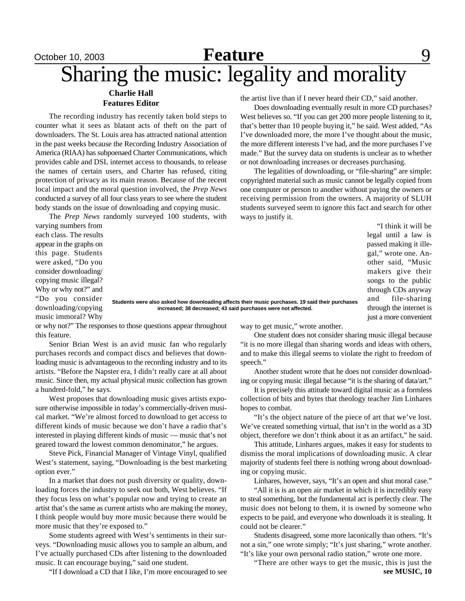# October 10, 2003 **Reature** 9 Sharing the music: legality and morality **Feature**

## **Charlie Hall Features Editor**

The recording industry has recently taken bold steps to counter what it sees as blatant acts of theft on the part of downloaders. The St. Louis area has attracted national attention in the past weeks because the Recording Industry Association of America (RIAA) has subpoenaed Charter Communications, which provides cable and DSL internet access to thousands, to release the names of certain users, and Charter has refused, citing protection of privacy as its main reason. Because of the recent local impact and the moral question involved, the *Prep News* conducted a survey of all four class years to see where the student body stands on the issue of downloading and copying music.

The *Prep News* randomly surveyed 100 students, with

varying numbers from each class. The results appear in the graphs on this page. Students were asked, "Do you consider downloading/ copying music illegal? Why or why not?" and "Do you consider downloading/copying music immoral? Why

**Students were also asked how downloading affects their music purchases. 19 said their purchases increased; 38 decreased; 43 said purchases were not affected.**

or why not?" The responses to those questions appear throughout this feature.

Senior Brian West is an avid music fan who regularly purchases records and compact discs and believes that downloading music is advantageous to the recording industry and to its artists. "Before the Napster era, I didn't really care at all about music. Since then, my actual physical music collection has grown a hundred-fold," he says.

West proposes that downloading music gives artists exposure otherwise impossible in today's commercially-driven musical market. "We're almost forced to download to get access to different kinds of music because we don't have a radio that's interested in playing different kinds of music — music that's not geared toward the lowest common denominator," he argues.

Steve Pick, Financial Manager of Vintage Vinyl, qualified West's statement, saying, "Downloading is the best marketing option ever."

In a market that does not push diversity or quality, downloading forces the industry to seek out both, West believes. "If they focus less on what's popular now and trying to create an artist that's the same as current artists who are making the money, I think people would buy more music because there would be more music that they're exposed to."

Some students agreed with West's sentiments in their surveys. "Downloading music allows you to sample an album, and I've actually purchased CDs after listening to the downloaded music. It can encourage buying," said one student.

"If I download a CD that I like, I'm more encouraged to see

the artist live than if I never heard their CD," said another.

Does downloading eventually result in more CD purchases? West believes so. "If you can get 200 more people listening to it, that's better than 10 people buying it," he said. West added, "As I've downloaded more, the more I've thought about the music, the more different interests I've had, and the more purchases I've made." But the survey data on students is unclear as to whether or not downloading increases or decreases purchasing.

The legalities of downloading, or "file-sharing" are simple: copyrighted material such as music cannot be legally copied from one computer or person to another without paying the owners or receiving permission from the owners. A majority of SLUH students surveyed seem to ignore this fact and search for other ways to justify it.

> "I think it will be legal until a law is passed making it illegal," wrote one. Another said, "Music makers give their songs to the public through CDs anyway and file-sharing through the internet is just a more convenient

way to get music," wrote another.

One student does not consider sharing music illegal because "it is no more illegal than sharing words and ideas with others, and to make this illegal seems to violate the right to freedom of speech."

Another student wrote that he does not consider downloading or copying music illegal because "it is the sharing of data/art."

It is precisely this attitude toward digital music as a formless collection of bits and bytes that theology teacher Jim Linhares hopes to combat.

"It's the object nature of the piece of art that we've lost. We've created something virtual, that isn't in the world as a 3D object, therefore we don't think about it as an artifact," he said.

This attitude, Linhares argues, makes it easy for students to dismiss the moral implications of downloading music. A clear majority of students feel there is nothing wrong about downloading or copying music.

Linhares, however, says, "It's an open and shut moral case."

"All it is is an open air market in which it is incredibly easy to steal something, but the fundamental act is perfectly clear. The music does not belong to them, it is owned by someone who expects to be paid, and everyone who downloads it is stealing. It could not be clearer."

Students disagreed, some more laconically than others. "It's not a sin," one wrote simply; "It's just sharing," wrote another. "It's like your own personal radio station," wrote one more.

"There are other ways to get the music, this is just the **see MUSIC, 10**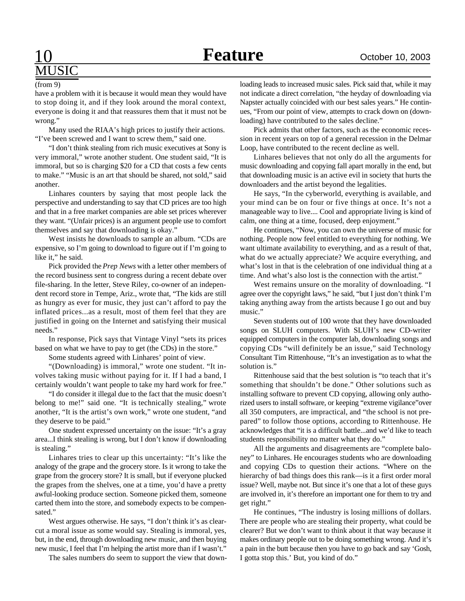# **USIC**

have a problem with it is because it would mean they would have to stop doing it, and if they look around the moral context, everyone is doing it and that reassures them that it must not be wrong." (from 9)

Many used the RIAA's high prices to justify their actions. "I've been screwed and I want to screw them," said one.

"I don't think stealing from rich music executives at Sony is very immoral," wrote another student. One student said, "It is immoral, but so is charging \$20 for a CD that costs a few cents to make." "Music is an art that should be shared, not sold," said another.

Linhares counters by saying that most people lack the perspective and understanding to say that CD prices are too high and that in a free market companies are able set prices wherever they want. "(Unfair prices) is an argument people use to comfort themselves and say that downloading is okay."

West insists he downloads to sample an album. "CDs are expensive, so I'm going to download to figure out if I'm going to like it," he said.

Pick provided the *Prep News* with a letter other members of the record business sent to congress during a recent debate over file-sharing. In the letter, Steve Riley, co-owner of an independent record store in Tempe, Ariz., wrote that, "The kids are still as hungry as ever for music, they just can't afford to pay the inflated prices...as a result, most of them feel that they are justified in going on the Internet and satisfying their musical needs."

In response, Pick says that Vintage Vinyl "sets its prices based on what we have to pay to get (the CDs) in the store."

Some students agreed with Linhares' point of view.

"(Downloading) is immoral," wrote one student. "It involves taking music without paying for it. If I had a band, I certainly wouldn't want people to take my hard work for free."

"I do consider it illegal due to the fact that the music doesn't belong to me!" said one. "It is technically stealing," wrote another, "It is the artist's own work," wrote one student, "and they deserve to be paid."

One student expressed uncertainty on the issue: "It's a gray area...I think stealing is wrong, but I don't know if downloading is stealing."

Linhares tries to clear up this uncertainty: "It's like the analogy of the grape and the grocery store. Is it wrong to take the grape from the grocery store? It is small, but if everyone plucked the grapes from the shelves, one at a time, you'd have a pretty awful-looking produce section. Someone picked them, someone carted them into the store, and somebody expects to be compensated."

West argues otherwise. He says, "I don't think it's as clearcut a moral issue as some would say. Stealing is immoral, yes, but, in the end, through downloading new music, and then buying new music, I feel that I'm helping the artist more than if I wasn't."

The sales numbers do seem to support the view that down-

loading leads to increased music sales. Pick said that, while it may not indicate a direct correlation, "the heyday of downloading via Napster actually coincided with our best sales years." He continues, "From our point of view, attempts to crack down on (downloading) have contributed to the sales decline."

Pick admits that other factors, such as the economic recession in recent years on top of a general recession in the Delmar Loop, have contributed to the recent decline as well.

Linhares believes that not only do all the arguments for music downloading and copying fall apart morally in the end, but that downloading music is an active evil in society that hurts the downloaders and the artist beyond the legalities.

He says, "In the cyberworld, everything is available, and your mind can be on four or five things at once. It's not a manageable way to live.... Cool and appropriate living is kind of calm, one thing at a time, focused, deep enjoyment."

He continues, "Now, you can own the universe of music for nothing. People now feel entitled to everything for nothing. We want ultimate availability to everything, and as a result of that, what do we actually appreciate? We acquire everything, and what's lost in that is the celebration of one individual thing at a time. And what's also lost is the connection with the artist."

West remains unsure on the morality of downloading. "I agree over the copyright laws," he said, "but I just don't think I'm taking anything away from the artists because I go out and buy music."

Seven students out of 100 wrote that they have downloaded songs on SLUH computers. With SLUH's new CD-writer equipped computers in the computer lab, downloading songs and copying CDs "will definitely be an issue," said Technology Consultant Tim Rittenhouse, "It's an investigation as to what the solution is."

Rittenhouse said that the best solution is "to teach that it's something that shouldn't be done." Other solutions such as installing software to prevent CD copying, allowing only authorized users to install software, or keeping "extreme vigilance"over all 350 computers, are impractical, and "the school is not prepared" to follow those options, according to Rittenhouse. He acknowledges that "it is a difficult battle...and we'd like to teach students responsibility no matter what they do."

All the arguments and disagreements are "complete baloney" to Linhares. He encourages students who are downloading and copying CDs to question their actions. "Where on the hierarchy of bad things does this rank—is it a first order moral issue? Well, maybe not. But since it's one that a lot of these guys are involved in, it's therefore an important one for them to try and get right."

He continues, "The industry is losing millions of dollars. There are people who are stealing their property, what could be clearer? But we don't want to think about it that way because it makes ordinary people out to be doing something wrong. And it's a pain in the butt because then you have to go back and say 'Gosh, I gotta stop this.' But, you kind of do."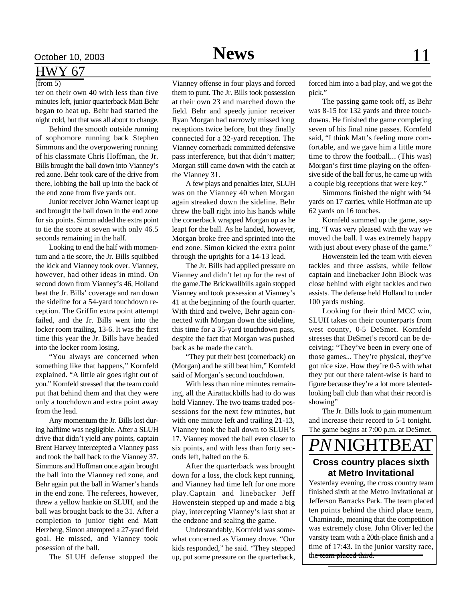# HWY 67

## $(from 5)$

ter on their own 40 with less than five minutes left, junior quarterback Matt Behr began to heat up. Behr had started the night cold, but that was all about to change.

Behind the smooth outside running of sophomore running back Stephen Simmons and the overpowering running of his classmate Chris Hoffman, the Jr. Bills brought the ball down into Vianney's red zone. Behr took care of the drive from there, lobbing the ball up into the back of the end zone from five yards out.

Junior receiver John Warner leapt up and brought the ball down in the end zone for six points. Simon added the extra point to tie the score at seven with only 46.5 seconds remaining in the half.

Looking to end the half with momentum and a tie score, the Jr. Bills squibbed the kick and Vianney took over. Vianney, however, had other ideas in mind. On second down from Vianney's 46, Holland beat the Jr. Bills' coverage and ran down the sideline for a 54-yard touchdown reception. The Griffin extra point attempt failed, and the Jr. Bills went into the locker room trailing, 13-6. It was the first time this year the Jr. Bills have headed into the locker room losing.

"You always are concerned when something like that happens," Kornfeld explained. "A little air goes right out of you." Kornfeld stressed that the team could put that behind them and that they were only a touchdown and extra point away from the lead.

Any momentum the Jr. Bills lost during halftime was negligible. After a SLUH drive that didn't yield any points, captain Brent Harvey intercepted a Vianney pass and took the ball back to the Vianney 37. Simmons and Hoffman once again brought the ball into the Vianney red zone, and Behr again put the ball in Warner's hands in the end zone. The referees, however, threw a yellow hankie on SLUH, and the ball was brought back to the 31. After a completion to junior tight end Matt Herzberg, Simon attempted a 27-yard field goal. He missed, and Vianney took posession of the ball.

The SLUH defense stopped the

Vianney offense in four plays and forced them to punt. The Jr. Bills took possession at their own 23 and marched down the field. Behr and speedy junior receiver Ryan Morgan had narrowly missed long

receptions twice before, but they finally connected for a 32-yard reception. The Vianney cornerback committed defensive pass interference, but that didn't matter; Morgan still came down with the catch at the Vianney 31.

A few plays and penalties later, SLUH was on the Vianney 40 when Morgan again streaked down the sideline. Behr threw the ball right into his hands while the cornerback wrapped Morgan up as he leapt for the ball. As he landed, however, Morgan broke free and sprinted into the end zone. Simon kicked the extra point through the uprights for a 14-13 lead.

The Jr. Bills had applied pressure on Vianney and didn't let up for the rest of the game.The Brickwallbills again stopped Vianney and took possession at Vianney's 41 at the beginning of the fourth quarter. With third and twelve, Behr again connected with Morgan down the sideline, this time for a 35-yard touchdown pass, despite the fact that Morgan was pushed back as he made the catch.

"They put their best (cornerback) on (Morgan) and he still beat him," Kornfeld said of Morgan's second touchdown.

With less than nine minutes remaining, all the Airattackbills had to do was hold Vianney. The two teams traded possessions for the next few minutes, but with one minute left and trailing 21-13, Vianney took the ball down to SLUH's 17. Vianney moved the ball even closer to six points, and with less than forty seconds left, halted on the 6.

After the quarterback was brought down for a loss, the clock kept running, and Vianney had time left for one more play.Captain and linebacker Jeff Howenstein stepped up and made a big play, intercepting Vianney's last shot at the endzone and sealing the game.

Understandably, Kornfeld was somewhat concerned as Vianney drove. "Our kids responded," he said. "They stepped up, put some pressure on the quarterback,

forced him into a bad play, and we got the pick."

The passing game took off, as Behr was 8-15 for 132 yards and three touchdowns. He finished the game completing seven of his final nine passes. Kornfeld said, "I think Matt's feeling more comfortable, and we gave him a little more time to throw the football... (This was) Morgan's first time playing on the offensive side of the ball for us, he came up with a couple big receptions that were key."

Simmons finished the night with 94 yards on 17 carries, while Hoffman ate up 62 yards on 16 touches.

Kornfeld summed up the game, saying, "I was very pleased with the way we moved the ball. I was extremely happy with just about every phase of the game."

Howenstein led the team with eleven tackles and three assists, while fellow captain and linebacker John Block was close behind with eight tackles and two assists. The defense held Holland to under 100 yards rushing.

Looking for their third MCC win, SLUH takes on their counterparts from west county, 0-5 DeSmet. Kornfeld stresses that DeSmet's record can be deceiving: "They've been in every one of those games... They're physical, they've got nice size. How they're 0-5 with what they put out there talent-wise is hard to figure because they're a lot more talentedlooking ball club than what their record is showing"

The Jr. Bills look to gain momentum and increase their record to 5-1 tonight. The game begins at 7:00 p.m. at DeSmet.

# *PN*NIGHTBEAT

# **Cross country places sixth at Metro Invitational**

Yesterday evening, the cross country team finished sixth at the Metro Invitational at Jefferson Barracks Park. The team placed ten points behind the third place team, Chaminade, meaning that the competition was extremely close. John Oliver led the varsity team with a 20th-place finish and a time of 17:43. In the junior varsity race, the team placed third.